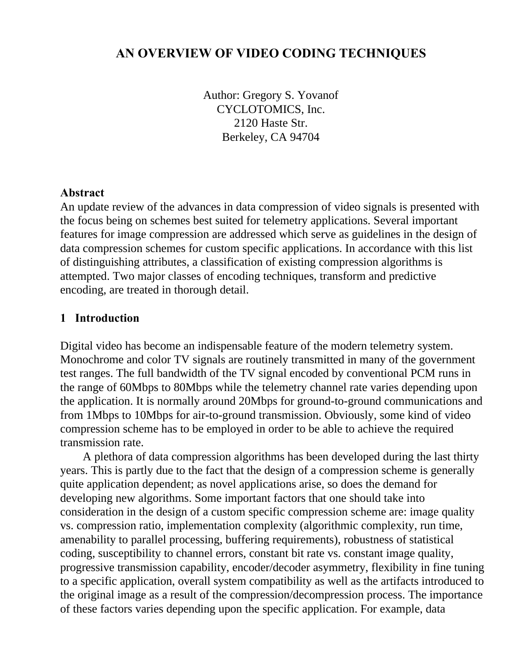## **AN OVERVIEW OF VIDEO CODING TECHNIQUES**

Author: Gregory S. Yovanof CYCLOTOMICS, Inc. 2120 Haste Str. Berkeley, CA 94704

#### **Abstract**

An update review of the advances in data compression of video signals is presented with the focus being on schemes best suited for telemetry applications. Several important features for image compression are addressed which serve as guidelines in the design of data compression schemes for custom specific applications. In accordance with this list of distinguishing attributes, a classification of existing compression algorithms is attempted. Two major classes of encoding techniques, transform and predictive encoding, are treated in thorough detail.

#### **1 Introduction**

Digital video has become an indispensable feature of the modern telemetry system. Monochrome and color TV signals are routinely transmitted in many of the government test ranges. The full bandwidth of the TV signal encoded by conventional PCM runs in the range of 60Mbps to 80Mbps while the telemetry channel rate varies depending upon the application. It is normally around 20Mbps for ground-to-ground communications and from 1Mbps to 10Mbps for air-to-ground transmission. Obviously, some kind of video compression scheme has to be employed in order to be able to achieve the required transmission rate.

A plethora of data compression algorithms has been developed during the last thirty years. This is partly due to the fact that the design of a compression scheme is generally quite application dependent; as novel applications arise, so does the demand for developing new algorithms. Some important factors that one should take into consideration in the design of a custom specific compression scheme are: image quality vs. compression ratio, implementation complexity (algorithmic complexity, run time, amenability to parallel processing, buffering requirements), robustness of statistical coding, susceptibility to channel errors, constant bit rate vs. constant image quality, progressive transmission capability, encoder/decoder asymmetry, flexibility in fine tuning to a specific application, overall system compatibility as well as the artifacts introduced to the original image as a result of the compression/decompression process. The importance of these factors varies depending upon the specific application. For example, data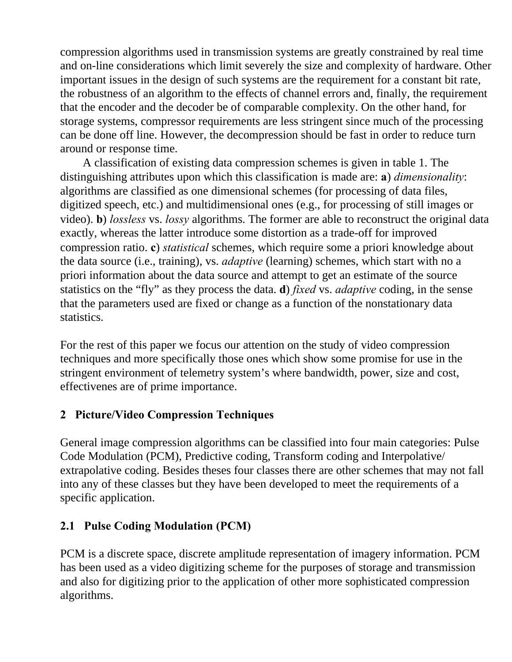compression algorithms used in transmission systems are greatly constrained by real time and on-line considerations which limit severely the size and complexity of hardware. Other important issues in the design of such systems are the requirement for a constant bit rate, the robustness of an algorithm to the effects of channel errors and, finally, the requirement that the encoder and the decoder be of comparable complexity. On the other hand, for storage systems, compressor requirements are less stringent since much of the processing can be done off line. However, the decompression should be fast in order to reduce turn around or response time.

A classification of existing data compression schemes is given in table 1. The distinguishing attributes upon which this classification is made are: **a**) *dimensionality*: algorithms are classified as one dimensional schemes (for processing of data files, digitized speech, etc.) and multidimensional ones (e.g., for processing of still images or video). **b**) *lossless* vs. *lossy* algorithms. The former are able to reconstruct the original data exactly, whereas the latter introduce some distortion as a trade-off for improved compression ratio. **c**) *statistical* schemes, which require some a priori knowledge about the data source (i.e., training), vs. *adaptive* (learning) schemes, which start with no a priori information about the data source and attempt to get an estimate of the source statistics on the "fly" as they process the data. **d**) *fixed* vs. *adaptive* coding, in the sense that the parameters used are fixed or change as a function of the nonstationary data statistics.

For the rest of this paper we focus our attention on the study of video compression techniques and more specifically those ones which show some promise for use in the stringent environment of telemetry system's where bandwidth, power, size and cost, effectivenes are of prime importance.

# **2 Picture/Video Compression Techniques**

General image compression algorithms can be classified into four main categories: Pulse Code Modulation (PCM), Predictive coding, Transform coding and Interpolative/ extrapolative coding. Besides theses four classes there are other schemes that may not fall into any of these classes but they have been developed to meet the requirements of a specific application.

# **2.1 Pulse Coding Modulation (PCM)**

PCM is a discrete space, discrete amplitude representation of imagery information. PCM has been used as a video digitizing scheme for the purposes of storage and transmission and also for digitizing prior to the application of other more sophisticated compression algorithms.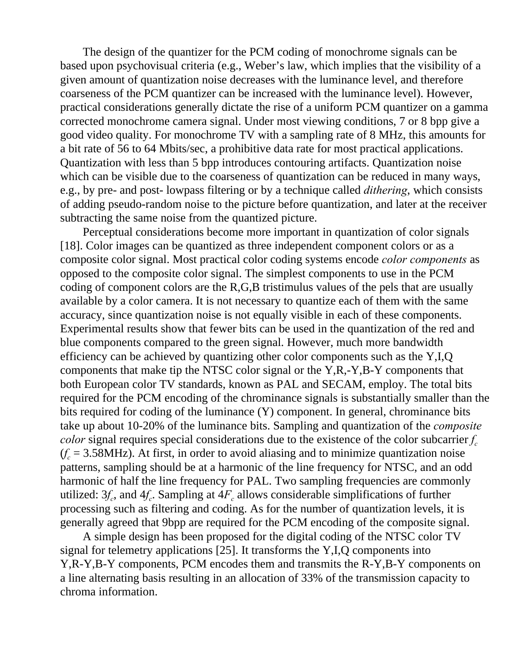The design of the quantizer for the PCM coding of monochrome signals can be based upon psychovisual criteria (e.g., Weber's law, which implies that the visibility of a given amount of quantization noise decreases with the luminance level, and therefore coarseness of the PCM quantizer can be increased with the luminance level). However, practical considerations generally dictate the rise of a uniform PCM quantizer on a gamma corrected monochrome camera signal. Under most viewing conditions, 7 or 8 bpp give a good video quality. For monochrome TV with a sampling rate of 8 MHz, this amounts for a bit rate of 56 to 64 Mbits/sec, a prohibitive data rate for most practical applications. Quantization with less than 5 bpp introduces contouring artifacts. Quantization noise which can be visible due to the coarseness of quantization can be reduced in many ways, e.g., by pre- and post- lowpass filtering or by a technique called *dithering*, which consists of adding pseudo-random noise to the picture before quantization, and later at the receiver subtracting the same noise from the quantized picture.

Perceptual considerations become more important in quantization of color signals [18]. Color images can be quantized as three independent component colors or as a composite color signal. Most practical color coding systems encode *color components* as opposed to the composite color signal. The simplest components to use in the PCM coding of component colors are the R,G,B tristimulus values of the pels that are usually available by a color camera. It is not necessary to quantize each of them with the same accuracy, since quantization noise is not equally visible in each of these components. Experimental results show that fewer bits can be used in the quantization of the red and blue components compared to the green signal. However, much more bandwidth efficiency can be achieved by quantizing other color components such as the Y,I,Q components that make tip the NTSC color signal or the Y,R,-Y,B-Y components that both European color TV standards, known as PAL and SECAM, employ. The total bits required for the PCM encoding of the chrominance signals is substantially smaller than the bits required for coding of the luminance (Y) component. In general, chrominance bits take up about 10-20% of the luminance bits. Sampling and quantization of the *composite color* signal requires special considerations due to the existence of the color subcarrier  $f_c$  $(f_c = 3.58 \text{MHz})$ . At first, in order to avoid aliasing and to minimize quantization noise patterns, sampling should be at a harmonic of the line frequency for NTSC, and an odd harmonic of half the line frequency for PAL. Two sampling frequencies are commonly utilized:  $3f_c$ , and  $4f_c$ . Sampling at  $4F_c$  allows considerable simplifications of further processing such as filtering and coding. As for the number of quantization levels, it is generally agreed that 9bpp are required for the PCM encoding of the composite signal.

A simple design has been proposed for the digital coding of the NTSC color TV signal for telemetry applications [25]. It transforms the Y,I,Q components into Y,R-Y,B-Y components, PCM encodes them and transmits the R-Y,B-Y components on a line alternating basis resulting in an allocation of 33% of the transmission capacity to chroma information.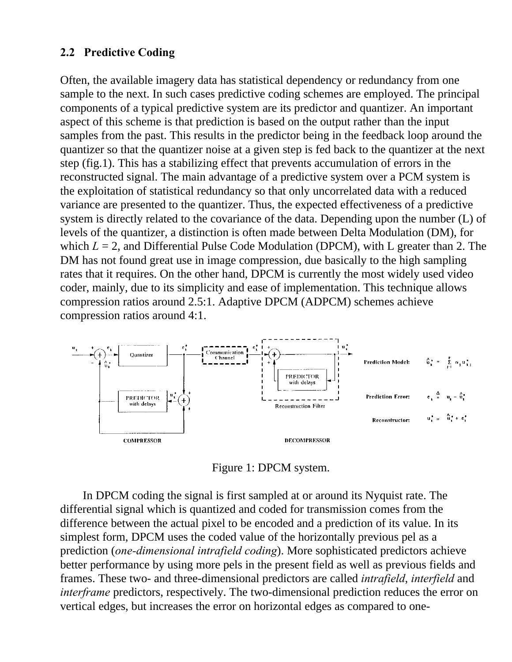## **2.2 Predictive Coding**

Often, the available imagery data has statistical dependency or redundancy from one sample to the next. In such cases predictive coding schemes are employed. The principal components of a typical predictive system are its predictor and quantizer. An important aspect of this scheme is that prediction is based on the output rather than the input samples from the past. This results in the predictor being in the feedback loop around the quantizer so that the quantizer noise at a given step is fed back to the quantizer at the next step (fig.1). This has a stabilizing effect that prevents accumulation of errors in the reconstructed signal. The main advantage of a predictive system over a PCM system is the exploitation of statistical redundancy so that only uncorrelated data with a reduced variance are presented to the quantizer. Thus, the expected effectiveness of a predictive system is directly related to the covariance of the data. Depending upon the number (L) of levels of the quantizer, a distinction is often made between Delta Modulation (DM), for which  $L = 2$ , and Differential Pulse Code Modulation (DPCM), with L greater than 2. The DM has not found great use in image compression, due basically to the high sampling rates that it requires. On the other hand, DPCM is currently the most widely used video coder, mainly, due to its simplicity and ease of implementation. This technique allows compression ratios around 2.5:1. Adaptive DPCM (ADPCM) schemes achieve compression ratios around 4:1.



Figure 1: DPCM system.

In DPCM coding the signal is first sampled at or around its Nyquist rate. The differential signal which is quantized and coded for transmission comes from the difference between the actual pixel to be encoded and a prediction of its value. In its simplest form, DPCM uses the coded value of the horizontally previous pel as a prediction (*one-dimensional intrafield coding*). More sophisticated predictors achieve better performance by using more pels in the present field as well as previous fields and frames. These two- and three-dimensional predictors are called *intrafield*, *interfield* and *interframe* predictors, respectively. The two-dimensional prediction reduces the error on vertical edges, but increases the error on horizontal edges as compared to one-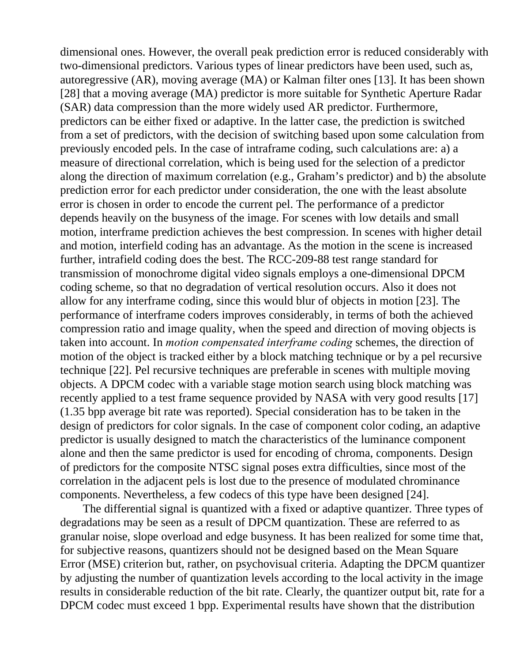dimensional ones. However, the overall peak prediction error is reduced considerably with two-dimensional predictors. Various types of linear predictors have been used, such as, autoregressive (AR), moving average (MA) or Kalman filter ones [13]. It has been shown [28] that a moving average (MA) predictor is more suitable for Synthetic Aperture Radar (SAR) data compression than the more widely used AR predictor. Furthermore, predictors can be either fixed or adaptive. In the latter case, the prediction is switched from a set of predictors, with the decision of switching based upon some calculation from previously encoded pels. In the case of intraframe coding, such calculations are: a) a measure of directional correlation, which is being used for the selection of a predictor along the direction of maximum correlation (e.g., Graham's predictor) and b) the absolute prediction error for each predictor under consideration, the one with the least absolute error is chosen in order to encode the current pel. The performance of a predictor depends heavily on the busyness of the image. For scenes with low details and small motion, interframe prediction achieves the best compression. In scenes with higher detail and motion, interfield coding has an advantage. As the motion in the scene is increased further, intrafield coding does the best. The RCC-209-88 test range standard for transmission of monochrome digital video signals employs a one-dimensional DPCM coding scheme, so that no degradation of vertical resolution occurs. Also it does not allow for any interframe coding, since this would blur of objects in motion [23]. The performance of interframe coders improves considerably, in terms of both the achieved compression ratio and image quality, when the speed and direction of moving objects is taken into account. In *motion compensated interframe coding* schemes, the direction of motion of the object is tracked either by a block matching technique or by a pel recursive technique [22]. Pel recursive techniques are preferable in scenes with multiple moving objects. A DPCM codec with a variable stage motion search using block matching was recently applied to a test frame sequence provided by NASA with very good results [17] (1.35 bpp average bit rate was reported). Special consideration has to be taken in the design of predictors for color signals. In the case of component color coding, an adaptive predictor is usually designed to match the characteristics of the luminance component alone and then the same predictor is used for encoding of chroma, components. Design of predictors for the composite NTSC signal poses extra difficulties, since most of the correlation in the adjacent pels is lost due to the presence of modulated chrominance components. Nevertheless, a few codecs of this type have been designed [24].

The differential signal is quantized with a fixed or adaptive quantizer. Three types of degradations may be seen as a result of DPCM quantization. These are referred to as granular noise, slope overload and edge busyness. It has been realized for some time that, for subjective reasons, quantizers should not be designed based on the Mean Square Error (MSE) criterion but, rather, on psychovisual criteria. Adapting the DPCM quantizer by adjusting the number of quantization levels according to the local activity in the image results in considerable reduction of the bit rate. Clearly, the quantizer output bit, rate for a DPCM codec must exceed 1 bpp. Experimental results have shown that the distribution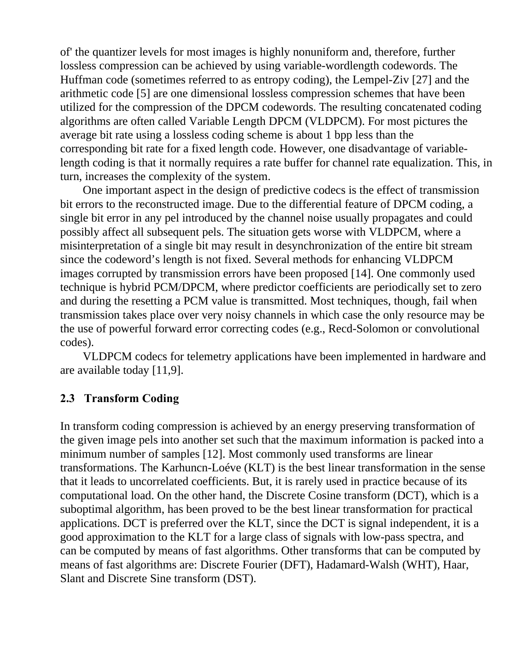of' the quantizer levels for most images is highly nonuniform and, therefore, further lossless compression can be achieved by using variable-wordlength codewords. The Huffman code (sometimes referred to as entropy coding), the Lempel-Ziv [27] and the arithmetic code [5] are one dimensional lossless compression schemes that have been utilized for the compression of the DPCM codewords. The resulting concatenated coding algorithms are often called Variable Length DPCM (VLDPCM). For most pictures the average bit rate using a lossless coding scheme is about 1 bpp less than the corresponding bit rate for a fixed length code. However, one disadvantage of variablelength coding is that it normally requires a rate buffer for channel rate equalization. This, in turn, increases the complexity of the system.

One important aspect in the design of predictive codecs is the effect of transmission bit errors to the reconstructed image. Due to the differential feature of DPCM coding, a single bit error in any pel introduced by the channel noise usually propagates and could possibly affect all subsequent pels. The situation gets worse with VLDPCM, where a misinterpretation of a single bit may result in desynchronization of the entire bit stream since the codeword's length is not fixed. Several methods for enhancing VLDPCM images corrupted by transmission errors have been proposed [14]. One commonly used technique is hybrid PCM/DPCM, where predictor coefficients are periodically set to zero and during the resetting a PCM value is transmitted. Most techniques, though, fail when transmission takes place over very noisy channels in which case the only resource may be the use of powerful forward error correcting codes (e.g., Recd-Solomon or convolutional codes).

VLDPCM codecs for telemetry applications have been implemented in hardware and are available today [11,9].

### **2.3 Transform Coding**

In transform coding compression is achieved by an energy preserving transformation of the given image pels into another set such that the maximum information is packed into a minimum number of samples [12]. Most commonly used transforms are linear transformations. The Karhuncn-Loéve (KLT) is the best linear transformation in the sense that it leads to uncorrelated coefficients. But, it is rarely used in practice because of its computational load. On the other hand, the Discrete Cosine transform (DCT), which is a suboptimal algorithm, has been proved to be the best linear transformation for practical applications. DCT is preferred over the KLT, since the DCT is signal independent, it is a good approximation to the KLT for a large class of signals with low-pass spectra, and can be computed by means of fast algorithms. Other transforms that can be computed by means of fast algorithms are: Discrete Fourier (DFT), Hadamard-Walsh (WHT), Haar, Slant and Discrete Sine transform (DST).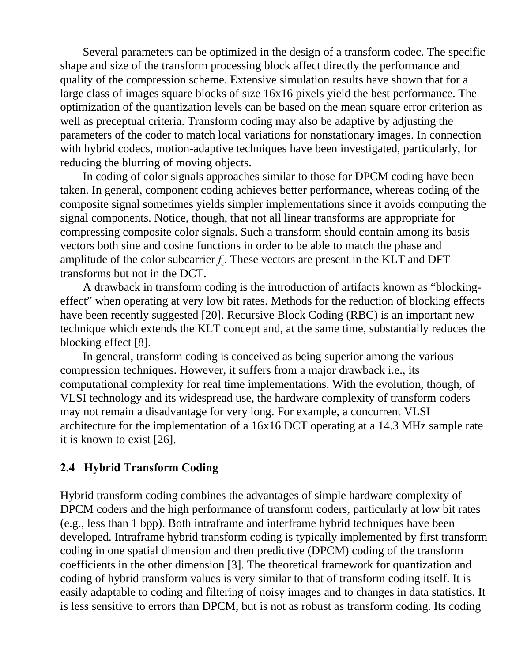Several parameters can be optimized in the design of a transform codec. The specific shape and size of the transform processing block affect directly the performance and quality of the compression scheme. Extensive simulation results have shown that for a large class of images square blocks of size 16x16 pixels yield the best performance. The optimization of the quantization levels can be based on the mean square error criterion as well as preceptual criteria. Transform coding may also be adaptive by adjusting the parameters of the coder to match local variations for nonstationary images. In connection with hybrid codecs, motion-adaptive techniques have been investigated, particularly, for reducing the blurring of moving objects.

In coding of color signals approaches similar to those for DPCM coding have been taken. In general, component coding achieves better performance, whereas coding of the composite signal sometimes yields simpler implementations since it avoids computing the signal components. Notice, though, that not all linear transforms are appropriate for compressing composite color signals. Such a transform should contain among its basis vectors both sine and cosine functions in order to be able to match the phase and amplitude of the color subcarrier  $f_c$ . These vectors are present in the KLT and DFT transforms but not in the DCT.

A drawback in transform coding is the introduction of artifacts known as "blockingeffect" when operating at very low bit rates. Methods for the reduction of blocking effects have been recently suggested [20]. Recursive Block Coding (RBC) is an important new technique which extends the KLT concept and, at the same time, substantially reduces the blocking effect [8].

In general, transform coding is conceived as being superior among the various compression techniques. However, it suffers from a major drawback i.e., its computational complexity for real time implementations. With the evolution, though, of VLSI technology and its widespread use, the hardware complexity of transform coders may not remain a disadvantage for very long. For example, a concurrent VLSI architecture for the implementation of a 16x16 DCT operating at a 14.3 MHz sample rate it is known to exist [26].

### **2.4 Hybrid Transform Coding**

Hybrid transform coding combines the advantages of simple hardware complexity of DPCM coders and the high performance of transform coders, particularly at low bit rates (e.g., less than 1 bpp). Both intraframe and interframe hybrid techniques have been developed. Intraframe hybrid transform coding is typically implemented by first transform coding in one spatial dimension and then predictive (DPCM) coding of the transform coefficients in the other dimension [3]. The theoretical framework for quantization and coding of hybrid transform values is very similar to that of transform coding itself. It is easily adaptable to coding and filtering of noisy images and to changes in data statistics. It is less sensitive to errors than DPCM, but is not as robust as transform coding. Its coding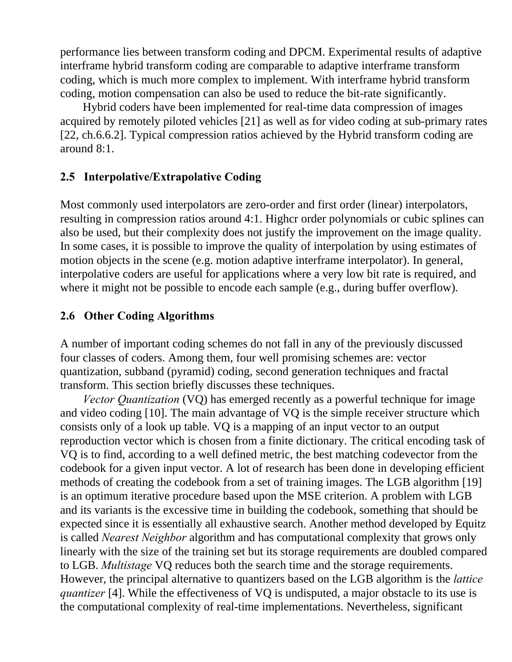performance lies between transform coding and DPCM. Experimental results of adaptive interframe hybrid transform coding are comparable to adaptive interframe transform coding, which is much more complex to implement. With interframe hybrid transform coding, motion compensation can also be used to reduce the bit-rate significantly.

Hybrid coders have been implemented for real-time data compression of images acquired by remotely piloted vehicles [21] as well as for video coding at sub-primary rates [22, ch.6.6.2]. Typical compression ratios achieved by the Hybrid transform coding are around 8:1.

#### **2.5 Interpolative/Extrapolative Coding**

Most commonly used interpolators are zero-order and first order (linear) interpolators, resulting in compression ratios around 4:1. Highcr order polynomials or cubic splines can also be used, but their complexity does not justify the improvement on the image quality. In some cases, it is possible to improve the quality of interpolation by using estimates of motion objects in the scene (e.g. motion adaptive interframe interpolator). In general, interpolative coders are useful for applications where a very low bit rate is required, and where it might not be possible to encode each sample (e.g., during buffer overflow).

### **2.6 Other Coding Algorithms**

A number of important coding schemes do not fall in any of the previously discussed four classes of coders. Among them, four well promising schemes are: vector quantization, subband (pyramid) coding, second generation techniques and fractal transform. This section briefly discusses these techniques.

*Vector Quantization* (VQ) has emerged recently as a powerful technique for image and video coding [10]. The main advantage of VQ is the simple receiver structure which consists only of a look up table. VQ is a mapping of an input vector to an output reproduction vector which is chosen from a finite dictionary. The critical encoding task of VQ is to find, according to a well defined metric, the best matching codevector from the codebook for a given input vector. A lot of research has been done in developing efficient methods of creating the codebook from a set of training images. The LGB algorithm [19] is an optimum iterative procedure based upon the MSE criterion. A problem with LGB and its variants is the excessive time in building the codebook, something that should be expected since it is essentially all exhaustive search. Another method developed by Equitz is called *Nearest Neighbor* algorithm and has computational complexity that grows only linearly with the size of the training set but its storage requirements are doubled compared to LGB. *Multistage* VQ reduces both the search time and the storage requirements. However, the principal alternative to quantizers based on the LGB algorithm is the *lattice quantizer* [4]. While the effectiveness of VQ is undisputed, a major obstacle to its use is the computational complexity of real-time implementations. Nevertheless, significant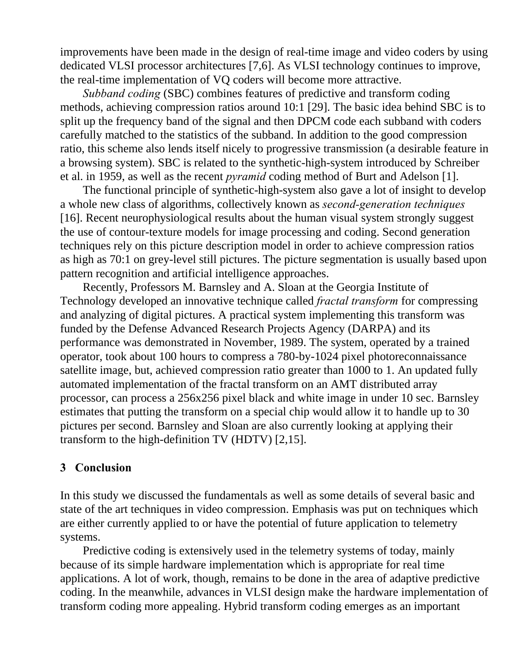improvements have been made in the design of real-time image and video coders by using dedicated VLSI processor architectures [7,6]. As VLSI technology continues to improve, the real-time implementation of VQ coders will become more attractive.

*Subband coding* (SBC) combines features of predictive and transform coding methods, achieving compression ratios around 10:1 [29]. The basic idea behind SBC is to split up the frequency band of the signal and then DPCM code each subband with coders carefully matched to the statistics of the subband. In addition to the good compression ratio, this scheme also lends itself nicely to progressive transmission (a desirable feature in a browsing system). SBC is related to the synthetic-high-system introduced by Schreiber et al. in 1959, as well as the recent *pyramid* coding method of Burt and Adelson [1].

The functional principle of synthetic-high-system also gave a lot of insight to develop a whole new class of algorithms, collectively known as *second-generation techniques* [16]. Recent neurophysiological results about the human visual system strongly suggest the use of contour-texture models for image processing and coding. Second generation techniques rely on this picture description model in order to achieve compression ratios as high as 70:1 on grey-level still pictures. The picture segmentation is usually based upon pattern recognition and artificial intelligence approaches.

Recently, Professors M. Barnsley and A. Sloan at the Georgia Institute of Technology developed an innovative technique called *fractal transform* for compressing and analyzing of digital pictures. A practical system implementing this transform was funded by the Defense Advanced Research Projects Agency (DARPA) and its performance was demonstrated in November, 1989. The system, operated by a trained operator, took about 100 hours to compress a 780-by-1024 pixel photoreconnaissance satellite image, but, achieved compression ratio greater than 1000 to 1. An updated fully automated implementation of the fractal transform on an AMT distributed array processor, can process a 256x256 pixel black and white image in under 10 sec. Barnsley estimates that putting the transform on a special chip would allow it to handle up to 30 pictures per second. Barnsley and Sloan are also currently looking at applying their transform to the high-definition TV (HDTV) [2,15].

### **3 Conclusion**

In this study we discussed the fundamentals as well as some details of several basic and state of the art techniques in video compression. Emphasis was put on techniques which are either currently applied to or have the potential of future application to telemetry systems.

Predictive coding is extensively used in the telemetry systems of today, mainly because of its simple hardware implementation which is appropriate for real time applications. A lot of work, though, remains to be done in the area of adaptive predictive coding. In the meanwhile, advances in VLSI design make the hardware implementation of transform coding more appealing. Hybrid transform coding emerges as an important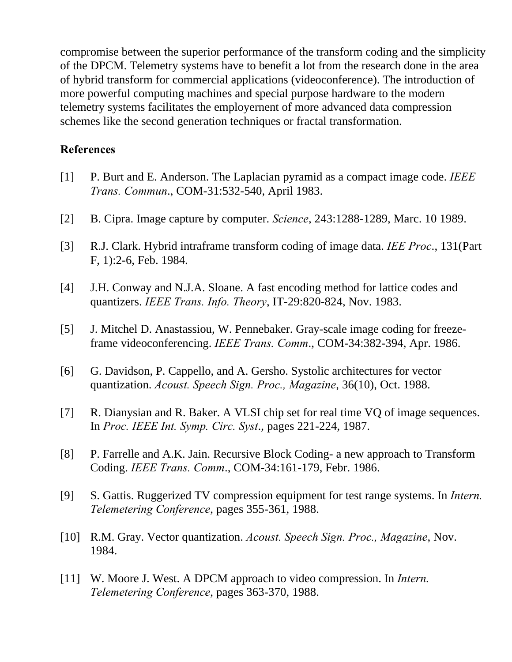compromise between the superior performance of the transform coding and the simplicity of the DPCM. Telemetry systems have to benefit a lot from the research done in the area of hybrid transform for commercial applications (videoconference). The introduction of more powerful computing machines and special purpose hardware to the modern telemetry systems facilitates the employernent of more advanced data compression schemes like the second generation techniques or fractal transformation.

#### **References**

- [1] P. Burt and E. Anderson. The Laplacian pyramid as a compact image code. *IEEE Trans. Commun*., COM-31:532-540, April 1983.
- [2] B. Cipra. Image capture by computer. *Science*, 243:1288-1289, Marc. 10 1989.
- [3] R.J. Clark. Hybrid intraframe transform coding of image data. *IEE Proc*., 131(Part F, 1):2-6, Feb. 1984.
- [4] J.H. Conway and N.J.A. Sloane. A fast encoding method for lattice codes and quantizers. *IEEE Trans. Info. Theory*, IT-29:820-824, Nov. 1983.
- [5] J. Mitchel D. Anastassiou, W. Pennebaker. Gray-scale image coding for freezeframe videoconferencing. *IEEE Trans. Comm*., COM-34:382-394, Apr. 1986.
- [6] G. Davidson, P. Cappello, and A. Gersho. Systolic architectures for vector quantization. *Acoust. Speech Sign. Proc., Magazine*, 36(10), Oct. 1988.
- [7] R. Dianysian and R. Baker. A VLSI chip set for real time VQ of image sequences. In *Proc. IEEE Int. Symp. Circ. Syst*., pages 221-224, 1987.
- [8] P. Farrelle and A.K. Jain. Recursive Block Coding- a new approach to Transform Coding. *IEEE Trans. Comm*., COM-34:161-179, Febr. 1986.
- [9] S. Gattis. Ruggerized TV compression equipment for test range systems. In *Intern. Telemetering Conference*, pages 355-361, 1988.
- [10] R.M. Gray. Vector quantization. *Acoust. Speech Sign. Proc., Magazine*, Nov. 1984.
- [11] W. Moore J. West. A DPCM approach to video compression. In *Intern. Telemetering Conference*, pages 363-370, 1988.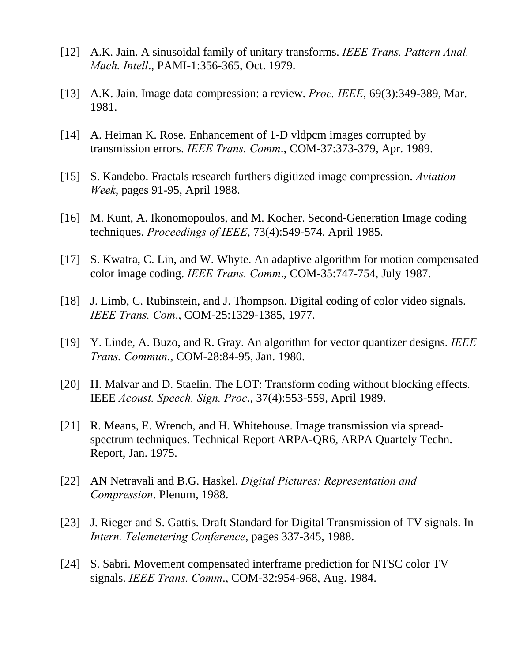- [12] A.K. Jain. A sinusoidal family of unitary transforms. *IEEE Trans. Pattern Anal. Mach. Intell*., PAMI-1:356-365, Oct. 1979.
- [13] A.K. Jain. Image data compression: a review. *Proc. IEEE*, 69(3):349-389, Mar. 1981.
- [14] A. Heiman K. Rose. Enhancement of 1-D vldpcm images corrupted by transmission errors. *IEEE Trans. Comm*., COM-37:373-379, Apr. 1989.
- [15] S. Kandebo. Fractals research furthers digitized image compression. *Aviation Week*, pages 91-95, April 1988.
- [16] M. Kunt, A. Ikonomopoulos, and M. Kocher. Second-Generation Image coding techniques. *Proceedings of IEEE*, 73(4):549-574, April 1985.
- [17] S. Kwatra, C. Lin, and W. Whyte. An adaptive algorithm for motion compensated color image coding. *IEEE Trans. Comm*., COM-35:747-754, July 1987.
- [18] J. Limb, C. Rubinstein, and J. Thompson. Digital coding of color video signals. *IEEE Trans. Com*., COM-25:1329-1385, 1977.
- [19] Y. Linde, A. Buzo, and R. Gray. An algorithm for vector quantizer designs. *IEEE Trans. Commun*., COM-28:84-95, Jan. 1980.
- [20] H. Malvar and D. Staelin. The LOT: Transform coding without blocking effects. IEEE *Acoust. Speech. Sign. Proc*., 37(4):553-559, April 1989.
- [21] R. Means, E. Wrench, and H. Whitehouse. Image transmission via spreadspectrum techniques. Technical Report ARPA-QR6, ARPA Quartely Techn. Report, Jan. 1975.
- [22] AN Netravali and B.G. Haskel. *Digital Pictures: Representation and Compression*. Plenum, 1988.
- [23] J. Rieger and S. Gattis. Draft Standard for Digital Transmission of TV signals. In *Intern. Telemetering Conference*, pages 337-345, 1988.
- [24] S. Sabri. Movement compensated interframe prediction for NTSC color TV signals. *IEEE Trans. Comm*., COM-32:954-968, Aug. 1984.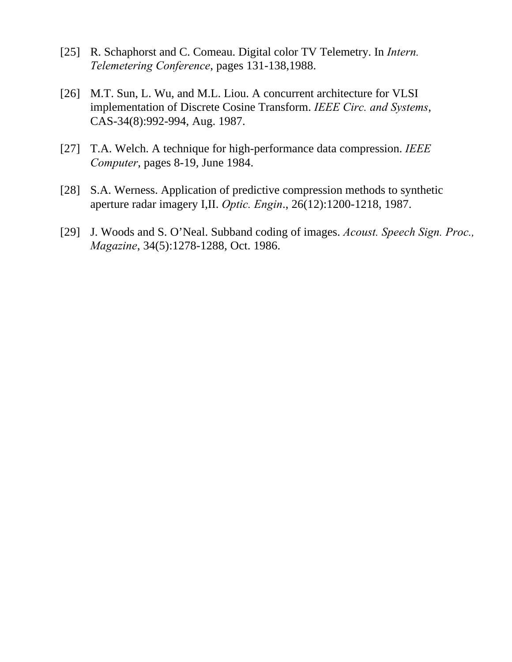- [25] R. Schaphorst and C. Comeau. Digital color TV Telemetry. In *Intern. Telemetering Conference*, pages 131-138,1988.
- [26] M.T. Sun, L. Wu, and M.L. Liou. A concurrent architecture for VLSI implementation of Discrete Cosine Transform. *IEEE Circ. and Systems*, CAS-34(8):992-994, Aug. 1987.
- [27] T.A. Welch. A technique for high-performance data compression. *IEEE Computer*, pages 8-19, June 1984.
- [28] S.A. Werness. Application of predictive compression methods to synthetic aperture radar imagery I,II. *Optic. Engin*., 26(12):1200-1218, 1987.
- [29] J. Woods and S. O'Neal. Subband coding of images. *Acoust. Speech Sign. Proc., Magazine*, 34(5):1278-1288, Oct. 1986.